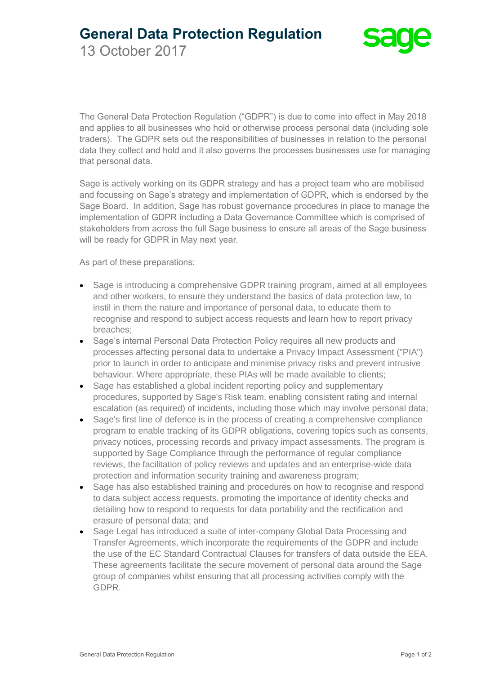**General Data Protection Regulation**

13 October 2017

The General Data Protection Regulation ("GDPR") is due to come into effect in May 2018 and applies to all businesses who hold or otherwise process personal data (including sole traders). The GDPR sets out the responsibilities of businesses in relation to the personal data they collect and hold and it also governs the processes businesses use for managing that personal data.

Sage is actively working on its GDPR strategy and has a project team who are mobilised and focussing on Sage's strategy and implementation of GDPR, which is endorsed by the Sage Board. In addition, Sage has robust governance procedures in place to manage the implementation of GDPR including a Data Governance Committee which is comprised of stakeholders from across the full Sage business to ensure all areas of the Sage business will be ready for GDPR in May next year.

As part of these preparations:

- Sage is introducing a comprehensive GDPR training program, aimed at all employees and other workers, to ensure they understand the basics of data protection law, to instil in them the nature and importance of personal data, to educate them to recognise and respond to subject access requests and learn how to report privacy breaches;
- Sage's internal Personal Data Protection Policy requires all new products and processes affecting personal data to undertake a Privacy Impact Assessment ("PIA") prior to launch in order to anticipate and minimise privacy risks and prevent intrusive behaviour. Where appropriate, these PIAs will be made available to clients;
- Sage has established a global incident reporting policy and supplementary procedures, supported by Sage's Risk team, enabling consistent rating and internal escalation (as required) of incidents, including those which may involve personal data;
- Sage's first line of defence is in the process of creating a comprehensive compliance program to enable tracking of its GDPR obligations, covering topics such as consents, privacy notices, processing records and privacy impact assessments. The program is supported by Sage Compliance through the performance of regular compliance reviews, the facilitation of policy reviews and updates and an enterprise-wide data protection and information security training and awareness program;
- Sage has also established training and procedures on how to recognise and respond to data subject access requests, promoting the importance of identity checks and detailing how to respond to requests for data portability and the rectification and erasure of personal data; and
- Sage Legal has introduced a suite of inter-company Global Data Processing and Transfer Agreements, which incorporate the requirements of the GDPR and include the use of the EC Standard Contractual Clauses for transfers of data outside the EEA. These agreements facilitate the secure movement of personal data around the Sage group of companies whilst ensuring that all processing activities comply with the GDPR.